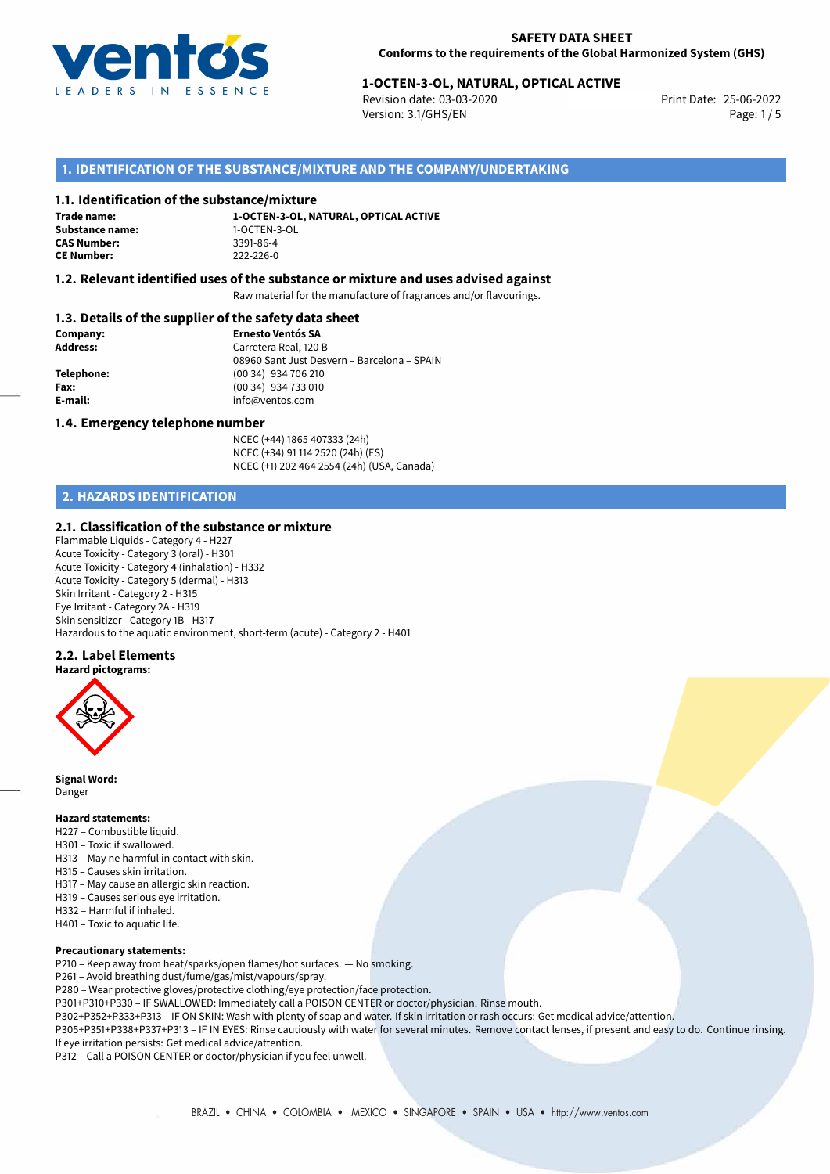

# 25-06-2022 **1-OCTEN-3-OL, NATURAL, OPTICAL ACTIVE**

Revision date: 03-03-2020 Version: 3.1/GHS/EN Page: 1 / 5

# **1. IDENTIFICATION OF THE SUBSTANCE/MIXTURE AND THE COMPANY/UNDERTAKING**

## **1.1. Identification of the substance/mixture**

**Trade name: Substance name:** 1-OCTEN-3-OL **CAS Number: CE Number:** 222-226-0

**1-OCTEN-3-OL, NATURAL, OPTICAL ACTIVE**

## **1.2. Relevant identified uses of the substance or mixture and uses advised against**

Raw material for the manufacture of fragrances and/or flavourings.

# **1.3. Details of the supplier of the safety data sheet**

| Company:        | <b>Ernesto Ventós SA</b>                    |
|-----------------|---------------------------------------------|
| <b>Address:</b> | Carretera Real, 120 B                       |
|                 | 08960 Sant Just Desvern - Barcelona - SPAIN |
| Telephone:      | (00 34) 934 706 210                         |
| Fax:            | (00 34) 934 733 010                         |
| E-mail:         | info@ventos.com                             |
|                 |                                             |

## **1.4. Emergency telephone number**

NCEC (+44) 1865 407333 (24h) NCEC (+34) 91 114 2520 (24h) (ES) NCEC (+1) 202 464 2554 (24h) (USA, Canada)

# **2. HAZARDS IDENTIFICATION**

# **2.1. Classification of the substance or mixture**

Flammable Liquids - Category 4 - H227 Acute Toxicity - Category 3 (oral) - H301 Acute Toxicity - Category 4 (inhalation) - H332 Acute Toxicity - Category 5 (dermal) - H313 Skin Irritant - Category 2 - H315 Eye Irritant - Category 2A - H319 Skin sensitizer - Category 1B - H317 Hazardous to the aquatic environment, short-term (acute) - Category 2 - H401

# **2.2. Label Elements**

**Hazard pictograms:**



**Signal Word:** Danger

#### **Hazard statements:**

- H227 Combustible liquid.
- H301 Toxic if swallowed.
- H313 May ne harmful in contact with skin.
- H315 Causes skin irritation.
- H317 May cause an allergic skin reaction.
- H319 Causes serious eye irritation.
- H332 Harmful if inhaled.
- H401 Toxic to aquatic life.

#### **Precautionary statements:**

P210 – Keep away from heat/sparks/open flames/hot surfaces. — No smoking.

P261 – Avoid breathing dust/fume/gas/mist/vapours/spray.

P280 – Wear protective gloves/protective clothing/eye protection/face protection.

P301+P310+P330 – IF SWALLOWED: Immediately call a POISON CENTER or doctor/physician. Rinse mouth.

P302+P352+P333+P313 – IF ON SKIN: Wash with plenty of soap and water. If skin irritation or rash occurs: Get medical advice/attention.

P305+P351+P338+P337+P313 – IF IN EYES: Rinse cautiously with water for several minutes. Remove contact lenses, if present and easy to do. Continue rinsing. If eye irritation persists: Get medical advice/attention.

P312 – Call a POISON CENTER or doctor/physician if you feel unwell.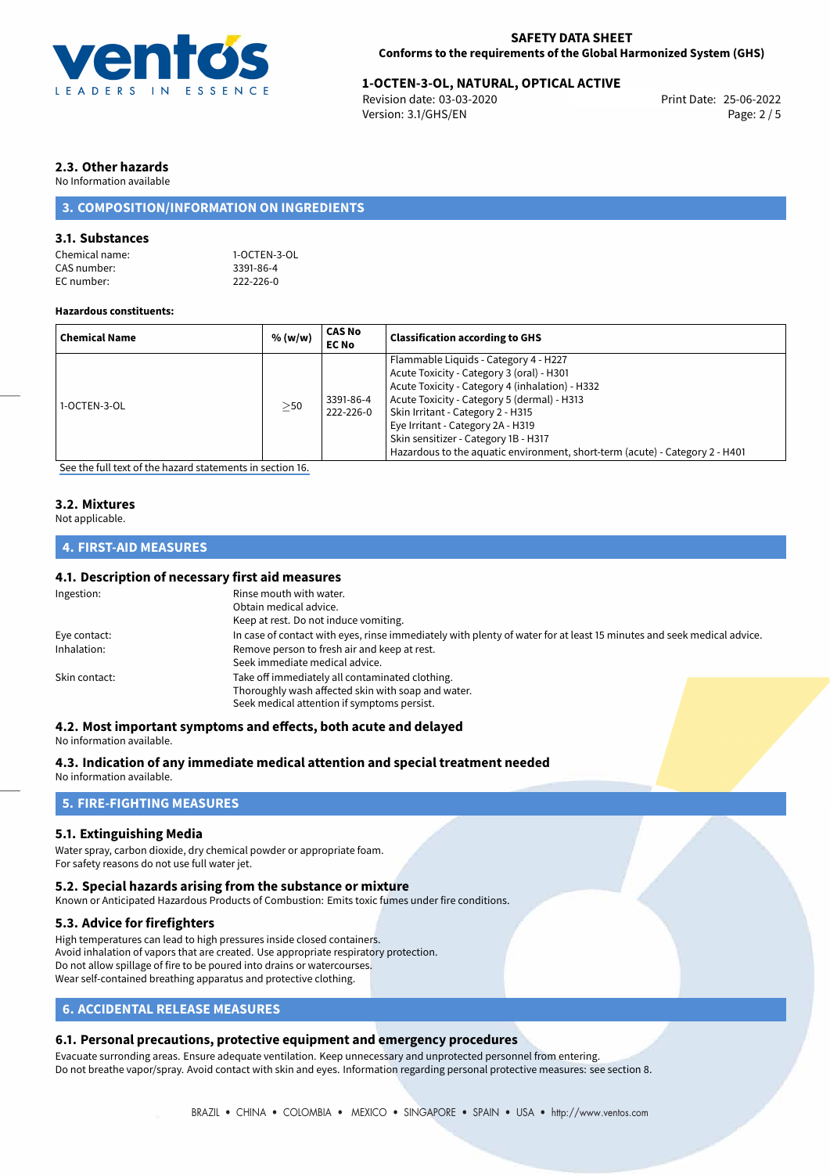

# 25-06-2022 **1-OCTEN-3-OL, NATURAL, OPTICAL ACTIVE**

Revision date: 03-03-2020 Version: 3.1/GHS/EN Page: 2 / 5

# **2.3. Other hazards**

No Information available

# **3. COMPOSITION/INFORMATION ON INGREDIENTS**

# **3.1. Substances**

| 1-OCTEN-3-OL |
|--------------|
| 3391-86-4    |
| 222-226-0    |
|              |

#### **Hazardous constituents:**

| <b>Chemical Name</b> | % (w/w)   | <b>CAS No</b><br><b>EC No</b> | <b>Classification according to GHS</b>                                                                                                                                                                                                                                                                                                                                                 |
|----------------------|-----------|-------------------------------|----------------------------------------------------------------------------------------------------------------------------------------------------------------------------------------------------------------------------------------------------------------------------------------------------------------------------------------------------------------------------------------|
| 1-OCTEN-3-OL         | $\geq$ 50 | 3391-86-4<br>222-226-0        | Flammable Liquids - Category 4 - H227<br>Acute Toxicity - Category 3 (oral) - H301<br>Acute Toxicity - Category 4 (inhalation) - H332<br>Acute Toxicity - Category 5 (dermal) - H313<br>Skin Irritant - Category 2 - H315<br>Eye Irritant - Category 2A - H319<br>Skin sensitizer - Category 1B - H317<br>Hazardous to the aquatic environment, short-term (acute) - Category 2 - H401 |

[See the full text of the hazard statements in section 16.](#page-4-0)

# **3.2. Mixtures**

Not applicable.

# **4. FIRST-AID MEASURES**

# **4.1. Description of necessary first aid measures**

| Ingestion:    | Rinse mouth with water.<br>Obtain medical advice.                                                                                                    |  |
|---------------|------------------------------------------------------------------------------------------------------------------------------------------------------|--|
|               | Keep at rest. Do not induce vomiting.                                                                                                                |  |
| Eye contact:  | In case of contact with eyes, rinse immediately with plenty of water for at least 15 minutes and seek medical advice.                                |  |
| Inhalation:   | Remove person to fresh air and keep at rest.<br>Seek immediate medical advice.                                                                       |  |
| Skin contact: | Take off immediately all contaminated clothing.<br>Thoroughly wash affected skin with soap and water.<br>Seek medical attention if symptoms persist. |  |

### **4.2. Most important symptoms and effects, both acute and delayed**

No information available.

**4.3. Indication of any immediate medical attention and special treatment needed**

No information available.

# **5. FIRE-FIGHTING MEASURES**

# **5.1. Extinguishing Media**

Water spray, carbon dioxide, dry chemical powder or appropriate foam. For safety reasons do not use full water jet.

# **5.2. Special hazards arising from the substance or mixture**

Known or Anticipated Hazardous Products of Combustion: Emits toxic fumes under fire conditions.

# **5.3. Advice for firefighters**

High temperatures can lead to high pressures inside closed containers. Avoid inhalation of vapors that are created. Use appropriate respiratory protection. Do not allow spillage of fire to be poured into drains or watercourses. Wear self-contained breathing apparatus and protective clothing.

# **6. ACCIDENTAL RELEASE MEASURES**

# **6.1. Personal precautions, protective equipment and emergency procedures**

Evacuate surronding areas. Ensure adequate ventilation. Keep unnecessary and unprotected personnel from entering. Do not breathe vapor/spray. Avoid contact with skin and eyes. Information regarding personal protective measures: see section 8.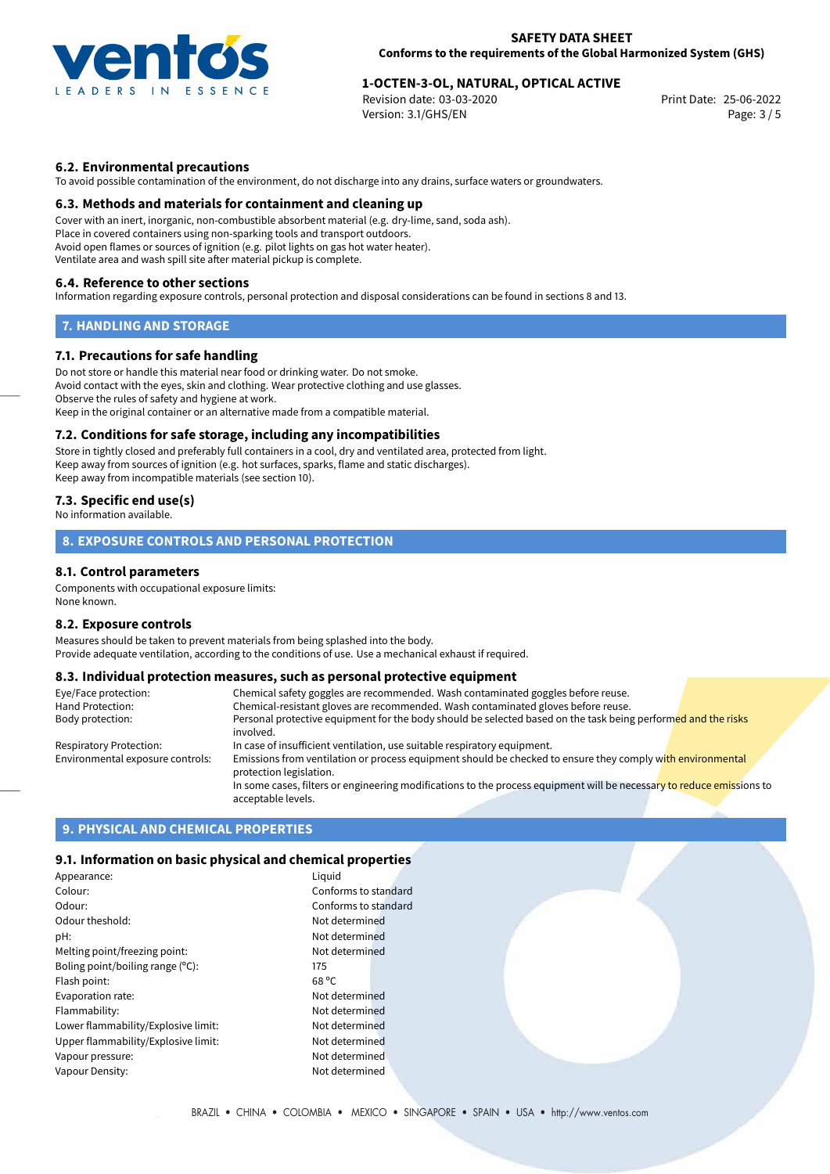

# 25-06-2022 **1-OCTEN-3-OL, NATURAL, OPTICAL ACTIVE**

Revision date: 03-03-2020 Version: 3.1/GHS/EN Page: 3 / 5

# **6.2. Environmental precautions**

To avoid possible contamination of the environment, do not discharge into any drains, surface waters or groundwaters.

## **6.3. Methods and materials for containment and cleaning up**

Cover with an inert, inorganic, non-combustible absorbent material (e.g. dry-lime, sand, soda ash). Place in covered containers using non-sparking tools and transport outdoors. Avoid open flames or sources of ignition (e.g. pilot lights on gas hot water heater). Ventilate area and wash spill site after material pickup is complete.

#### **6.4. Reference to other sections**

Information regarding exposure controls, personal protection and disposal considerations can be found in sections 8 and 13.

## **7. HANDLING AND STORAGE**

## **7.1. Precautions for safe handling**

Do not store or handle this material near food or drinking water. Do not smoke. Avoid contact with the eyes, skin and clothing. Wear protective clothing and use glasses. Observe the rules of safety and hygiene at work. Keep in the original container or an alternative made from a compatible material.

### **7.2. Conditions for safe storage, including any incompatibilities**

Store in tightly closed and preferably full containers in a cool, dry and ventilated area, protected from light. Keep away from sources of ignition (e.g. hot surfaces, sparks, flame and static discharges). Keep away from incompatible materials (see section 10).

# **7.3. Specific end use(s)**

No information available.

# **8. EXPOSURE CONTROLS AND PERSONAL PROTECTION**

## **8.1. Control parameters**

Components with occupational exposure limits: None known.

#### **8.2. Exposure controls**

Measures should be taken to prevent materials from being splashed into the body. Provide adequate ventilation, according to the conditions of use. Use a mechanical exhaust if required.

# **8.3. Individual protection measures, such as personal protective equipment**

| Eye/Face protection:             | Chemical safety goggles are recommended. Wash contaminated goggles before reuse.                                                            |
|----------------------------------|---------------------------------------------------------------------------------------------------------------------------------------------|
| Hand Protection:                 | Chemical-resistant gloves are recommended. Wash contaminated gloves before reuse.                                                           |
| Body protection:                 | Personal protective equipment for the body should be selected based on the task being performed and the risks                               |
|                                  | involved.                                                                                                                                   |
| Respiratory Protection:          | In case of insufficient ventilation, use suitable respiratory equipment.                                                                    |
| Environmental exposure controls: | Emissions from ventilation or process equipment should be checked to ensure they comply with environmental<br>protection legislation.       |
|                                  | In some cases, filters or engineering modifications to the process equipment will be necessary to reduce emissions to<br>acceptable levels. |

# **9. PHYSICAL AND CHEMICAL PROPERTIES**

## **9.1. Information on basic physical and chemical properties**

| Appearance:                         | Liguid               |
|-------------------------------------|----------------------|
| Colour:                             | Conforms to standard |
| Odour:                              | Conforms to standard |
| Odour theshold:                     | Not determined       |
| pH:                                 | Not determined       |
| Melting point/freezing point:       | Not determined       |
| Boling point/boiling range (°C):    | 175                  |
| Flash point:                        | $68^{\circ}$ C       |
| Evaporation rate:                   | Not determined       |
| Flammability:                       | Not determined       |
| Lower flammability/Explosive limit: | Not determined       |
| Upper flammability/Explosive limit: | Not determined       |
| Vapour pressure:                    | Not determined       |
| Vapour Density:                     | Not determined       |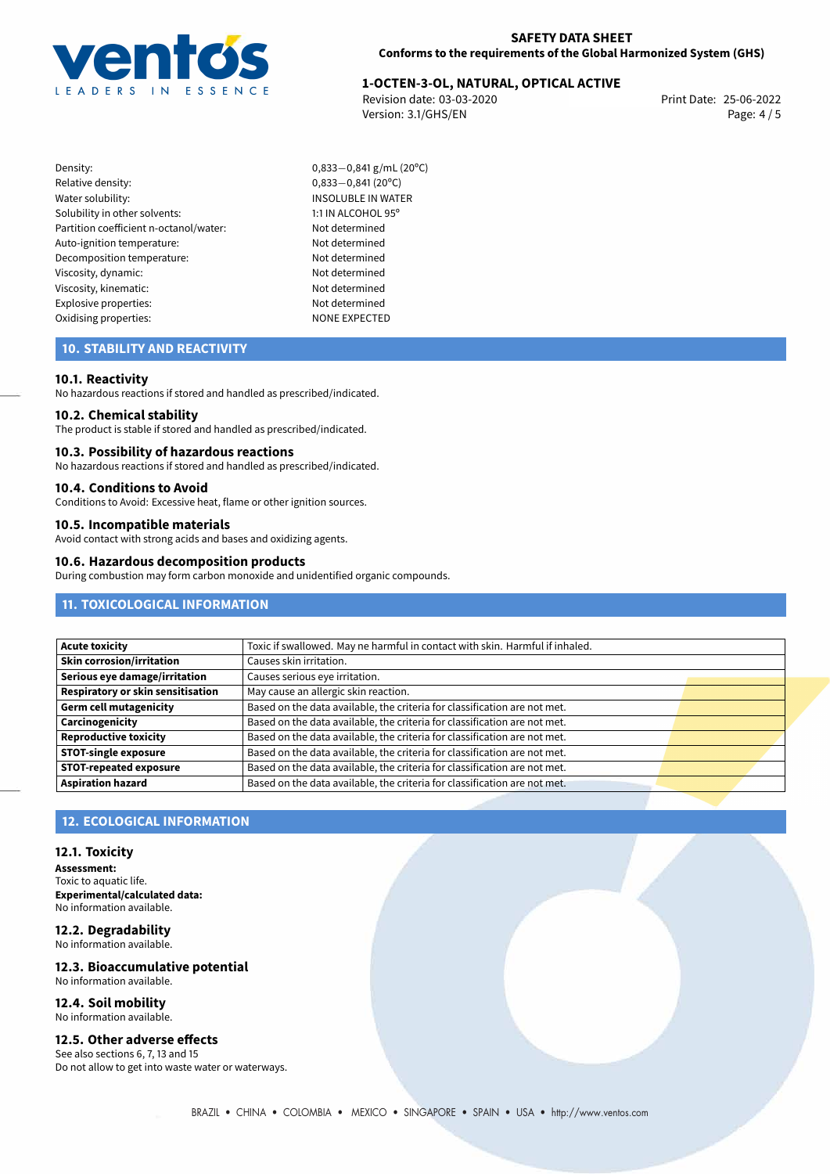

# 25-06-2022 **1-OCTEN-3-OL, NATURAL, OPTICAL ACTIVE**

Revision date: 03-03-2020 Version: 3.1/GHS/EN Page: 4 / 5

- Density: 0,833−0,841 g/mL (20°C)<br>Relative density: 0,833−0,841 (20°C) Relative density: 0,833−0,841 (20°C)<br>Water solubility: 0,833−0,841 (20°C) Solubility in other solvents: 1:1 IN ALCOHOL 95° Partition coefficient n-octanol/water: Not determined Auto-ignition temperature: Not determined Decomposition temperature: Not determined Viscosity, dynamic: Not determined Viscosity, kinematic: Not determined Explosive properties: Not determined Oxidising properties: NONE EXPECTED
	- INSOLUBLE IN WATER

# **10. STABILITY AND REACTIVITY**

## **10.1. Reactivity**

No hazardous reactions if stored and handled as prescribed/indicated.

#### **10.2. Chemical stability**

The product is stable if stored and handled as prescribed/indicated.

#### **10.3. Possibility of hazardous reactions**

No hazardous reactions if stored and handled as prescribed/indicated.

## **10.4. Conditions to Avoid**

Conditions to Avoid: Excessive heat, flame or other ignition sources.

# **10.5. Incompatible materials**

Avoid contact with strong acids and bases and oxidizing agents.

### **10.6. Hazardous decomposition products**

During combustion may form carbon monoxide and unidentified organic compounds.

# **11. TOXICOLOGICAL INFORMATION**

| Acute toxicity                           | Toxic if swallowed. May ne harmful in contact with skin. Harmful if inhaled. |  |
|------------------------------------------|------------------------------------------------------------------------------|--|
| Skin corrosion/irritation                | Causes skin irritation.                                                      |  |
| Serious eye damage/irritation            | Causes serious eye irritation.                                               |  |
| <b>Respiratory or skin sensitisation</b> | May cause an allergic skin reaction.                                         |  |
| Germ cell mutagenicity                   | Based on the data available, the criteria for classification are not met.    |  |
| <b>Carcinogenicity</b>                   | Based on the data available, the criteria for classification are not met.    |  |
| Reproductive toxicity                    | Based on the data available, the criteria for classification are not met.    |  |
| <b>STOT-single exposure</b>              | Based on the data available, the criteria for classification are not met.    |  |
| <b>STOT-repeated exposure</b>            | Based on the data available, the criteria for classification are not met.    |  |
| <b>Aspiration hazard</b>                 | Based on the data available, the criteria for classification are not met.    |  |

# **12. ECOLOGICAL INFORMATION**

### **12.1. Toxicity**

**Assessment:** Toxic to aquatic life. **Experimental/calculated data:** No information available.

#### **12.2. Degradability** No information available.

**12.3. Bioaccumulative potential** No information available.

#### **12.4. Soil mobility** No information available.

# **12.5. Other adverse effects**

See also sections 6, 7, 13 and 15 Do not allow to get into waste water or waterways.